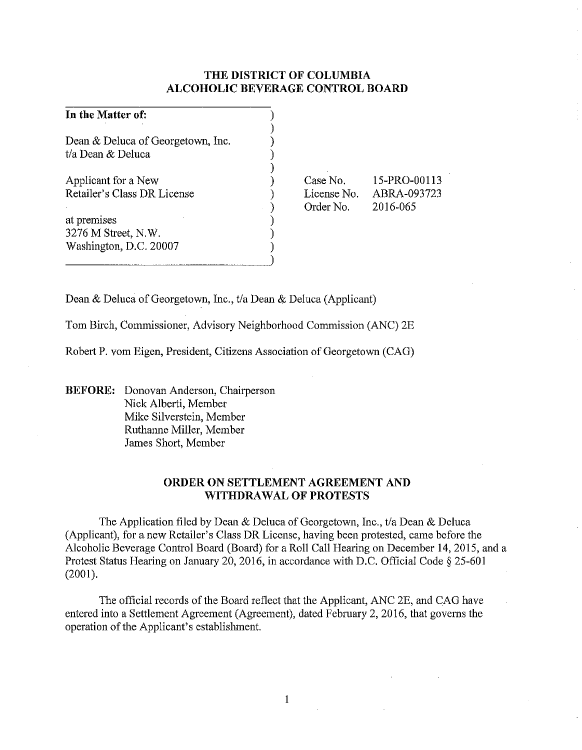## **THE DISTRICT OF COLUMBIA ALCOHOLIC BEVERAGE CONTROL BOARD**

| In the Matter of:                                            |                                      |                                         |
|--------------------------------------------------------------|--------------------------------------|-----------------------------------------|
| Dean & Deluca of Georgetown, Inc.<br>t/a Dean & Deluca       |                                      |                                         |
| Applicant for a New<br>Retailer's Class DR License           | Case No.<br>License No.<br>Order No. | 15-PRO-00113<br>ABRA-093723<br>2016-065 |
| at premises<br>3276 M Street, N.W.<br>Washington, D.C. 20007 |                                      |                                         |

Dean & Deluca of Georgetown, Inc., t/a Dean & Deluca (Applicant)

Tom Birch, Commissioner, Advisory Neighborhood Commission (ANC) 2E

Robert P. vom Eigen, President, Citizens Association of Georgetown (CAG)

**BEFORE:** Donovan Anderson, Chairperson Nick Alberti, Member Mike Silverstein, Member Ruthanne Miller, Member James Short, Member

## **ORDER ON SETTLEMENT AGREEMENT AND WITHDRAWAL OF PROTESTS**

The Application filed by Dean & Deluca of Georgetown, Inc., t/a Dean & Deluca (Applicant), for a new Retailer's Class DR License, having been protested, came before the Alcoholic Beverage Control Board (Board) for a Roll Call Hearing on December 14,2015, and a Protest Status Hearing on January 20,2016, in accordance with D.C. Official Code§ 25-601 (2001).

The official records of the Board reflect that the Applicant, ANC 2E, and CAG have entered into a Settlement Agreement (Agreement), dated February 2, 2016, that governs the operation of the Applicant's establishment.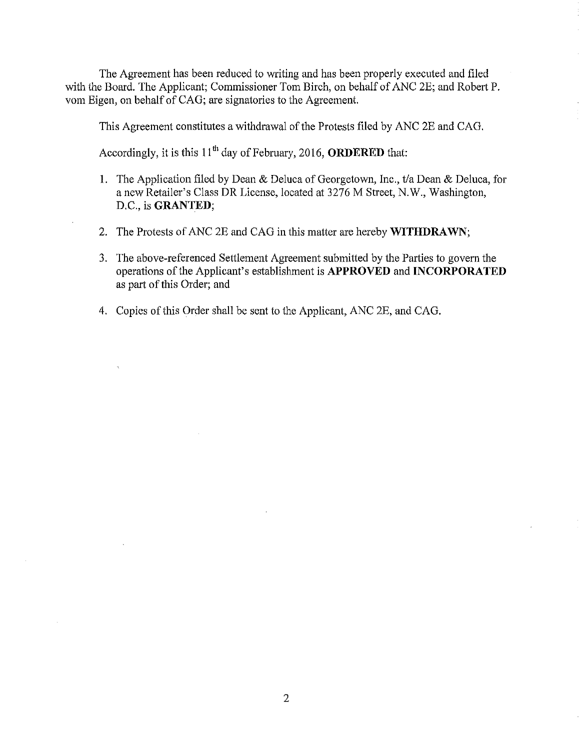The Agreement has been reduced to writing and has been properly executed and filed with the Board. The Applicant; Commissioner Tom Birch, on behalf of ANC 2E; and Robert P. vom Eigen, on behalf of CAG; are signatories to the Agreement.

This Agreement constitutes a withdrawal of the Protests filed by ANC 2E and CAG.

Accordingly, it is this  $11<sup>th</sup>$  day of February, 2016, **ORDERED** that:

- I. The Application filed by Dean & Deluca of Georgetown, Inc., t/a Dean & Deluca, for a new Retailer's Class DR License, located at 3276 M Street, N.W., Washington, D.C., is **GRANTED;**
- 2. The Protests of ANC 2E and CAG in this matter are hereby **WITHDRAWN;**
- 3. The above-referenced Settlement Agreement submitted by the Parties to govern the operations of the Applicant's establishment is **APPROVED** and **INCORPORATED**  as part of this Order; and
- 4. Copies of this Order shall be sent to the Applicant, ANC 2E, and CAG.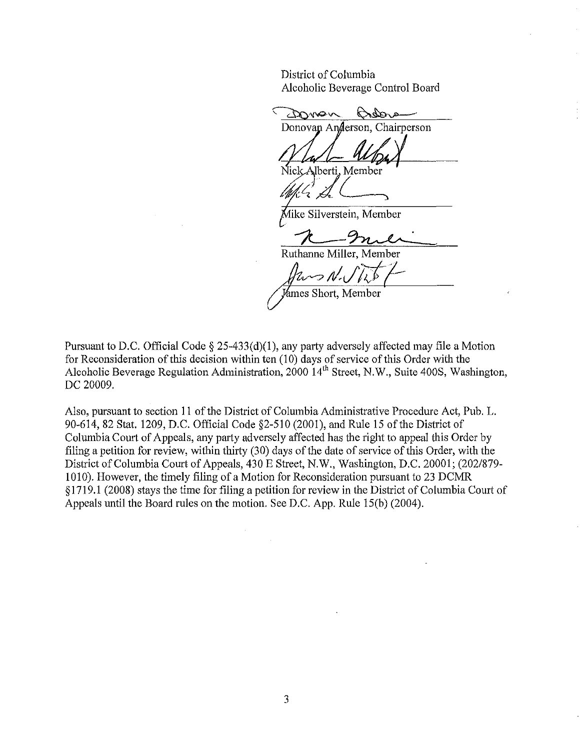District of Columbia Alcoholic Beverage Control Board

amon Dans Donovan Anderson, Chairperson Iberti, Member Mike Silverstein, Member Ruthanne Miller, Member *flump N. J V* 

Pursuant to D.C. Official Code  $\S 25-433(d)(1)$ , any party adversely affected may file a Motion for Reconsideration of this decision within ten (10) days of service ofthis Order with the Alcoholic Beverage Regulation Administration, 2000 14<sup>th</sup> Street, N.W., Suite 400S, Washington, DC 20009.

Also, pursuant to section II of the District of Columbia Administrative Procedure Act, Pub. L. 90-614, 82 Stat. 1209, D.C. Official Code §2-510 (2001), and Rule 15 of the District of Columbia Court of Appeals, any party adversely affected has the right to appeal this Order by filing a petition for review, within thirty (30) days of the date of service of this Order, with the District of Columbia Court of Appeals, 430 E Street, N.W., Washington, D.C. 20001; (202/879- 1010). However, the timely filing of a Motion for Reconsideration pursuant to 23 DCMR § 1719 .I (2008) stays the time for filing a petition for review in the District of Columbia Court of Appeals until the Board rules on the motion. See D.C. App. Rule 15(b) (2004).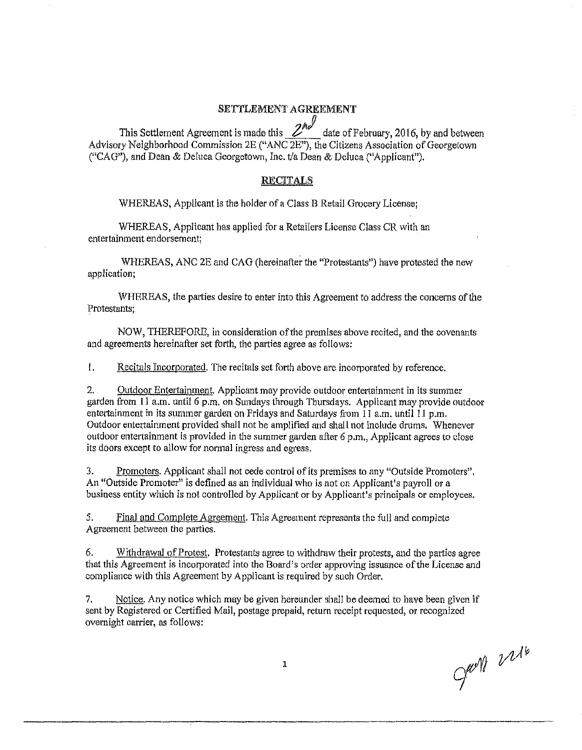#### SETTLEMENT AGREEMENT

This Settlement Agreement is made this 2<sup>nd</sup> date of February, 2016, by and between Advisory Neighborhood Commission 2E ("ANC 2E"), the Citizens Association of Georgetown ("CAG"), and Dean & Deluca Georgetown, Inc. t/a Dean & Deluca ("Applicant").

### RECITALS

WHEREAS, Applicant is the holder of a Class B Retail Grocery License;

WHEREAS, Applicant has applied for a Retailers License Class CR with an entertainment endorsement;

WHEREAS, ANC 2E and CAG (hereinafter the "Protestants") have protested the new application;

WHEREAS, the parties desire to enter into this Agreement to address the concerns of the Protestants;

NOW, THEREFORE, in consideration ofthe premises above recited, and the covenants and agreements hereinafter set forth, the patties agree as follows:

!. Recitals Incorporated. The recitals set forth above are incorporated by reference.

2. Outdoor Entertainment. Applicant may provide outdoor entertainment in its summer garden from  $11$  a.m. until 6 p.m. on Sundays through Thursdays. Applicant may provide outdoor entertainment in its summer garden on Fridays and Saturdays from  $11$  a.m. until  $11$  p.m. Outdoor entertainment provided shall not be amplified and shall not include drums. Whenever outdoor entertainment is provided in the summer garden after 6 p.m., Applicant agrees to close its doors except to allow for normal ingress and egress.

3. Promoters. Applicant shall not cede control of its premises to any "Outside Promoters". An "Outside Promoter" is defined as an individual who is not on Applicant's payroll or a business entity which is not controlled by Applicant or by Applicant's principals or employees.

*5.* Final and Complete Agreement. This Agreement represents the full and complete Agreement between the parties.

6. Withdrawal of Protest. Protestants agree to withdraw their protests, and the parties agree that this Agreement is incorporated into the Board's order approving issuance of the License and compliance with this Agreement by Applicant is required by such Order.

7. Notice. Any notice which may be given hereunder shall be deemed to have been given if sent by Registered or Certified Mail, postage prepaid, return receipt requested, or recognized ovemight carrier, as follows:

1

Just 2216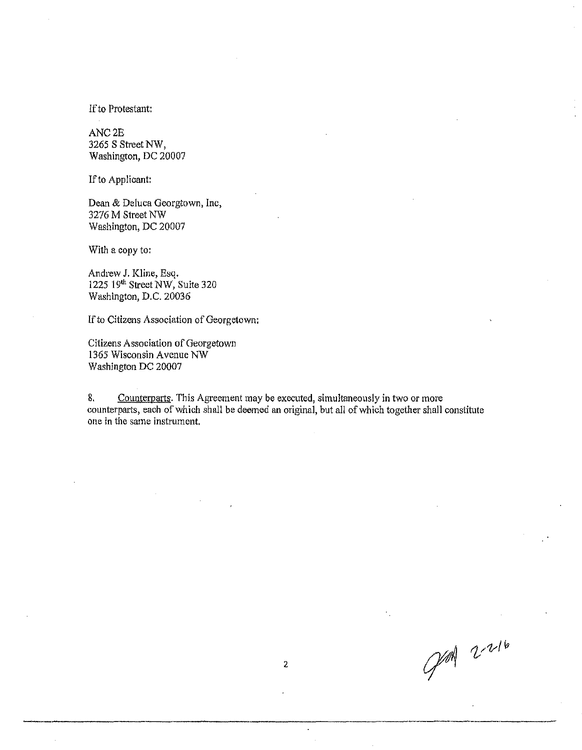If to Protestant:

ANC2E 3265 S Street NW, Washington, DC 20007

If to Applicant:

Dean & Deluca Georgtown, Inc, 3276 M Street NW Washington, DC 20007

With a copy to:

Andrew J. Kline, Esq. 1225 19th Street NW, Suite 320 Washington, D.C. 20036

If to Citizens Association of Georgetown:

Citizens Association of Georgetown 1365 Wisconsin Avenue NW Washington DC 20007

8. Counterparts. This Agreement may be executed, simultaneously in two or more counterparts, each of which shall be deemed an original, but all of which together shall constitute one in the same instrument.

PM 2-216

 $\overline{a}$